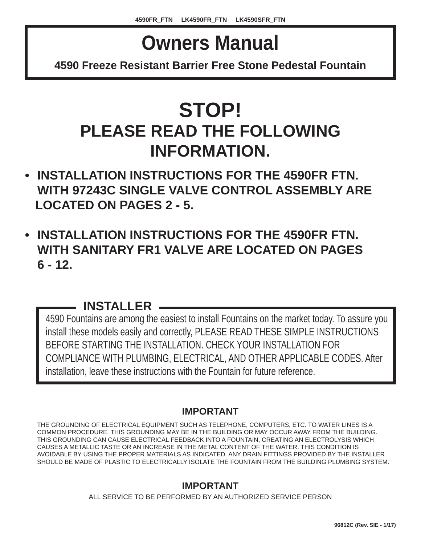# **Owners Manual**

**4590 Freeze Resistant Barrier Free Stone Pedestal Fountain**

## **STOP! PLEASE READ THE FOLLOWING INFORMATION.**

- **INSTALLATION INSTRUCTIONS FOR THE 4590FR FTN. WITH 97243C SINGLE VALVE CONTROL ASSEMBLY ARE LOCATED ON PAGES 2 - 5.**
- **INSTALLATION INSTRUCTIONS FOR THE 4590FR FTN. WITH SANITARY FR1 VALVE ARE LOCATED ON PAGES 6 - 12.**

## **INSTALLER**

4590 Fountains are among the easiest to install Fountains on the market today. To assure you install these models easily and correctly, PLEASE READ THESE SIMPLE INSTRUCTIONS BEFORE STARTING THE INSTALLATION. CHECK YOUR INSTALLATION FOR COMPLIANCE WITH PLUMBING, ELECTRICAL, AND OTHER APPLICABLE CODES. After installation, leave these instructions with the Fountain for future reference.

## **IMPORTANT**

THE GROUNDING OF ELECTRICAL EQUIPMENT SUCH AS TELEPHONE, COMPUTERS, ETC. TO WATER LINES IS A COMMON PROCEDURE. THIS GROUNDING MAY BE IN THE BUILDING OR MAY OCCUR AWAY FROM THE BUILDING. THIS GROUNDING CAN CAUSE ELECTRICAL FEEDBACK INTO A FOUNTAIN, CREATING AN ELECTROLYSIS WHICH CAUSES A METALLIC TASTE OR AN INCREASE IN THE METAL CONTENT OF THE WATER. THIS CONDITION IS AVOIDABLE BY USING THE PROPER MATERIALS AS INDICATED. ANY DRAIN FITTINGS PROVIDED BY THE INSTALLER SHOULD BE MADE OF PLASTIC TO ELECTRICALLY ISOLATE THE FOUNTAIN FROM THE BUILDING PLUMBING SYSTEM.

## **IMPORTANT**

ALL SERVICE TO BE PERFORMED BY AN AUTHORIZED SERVICE PERSON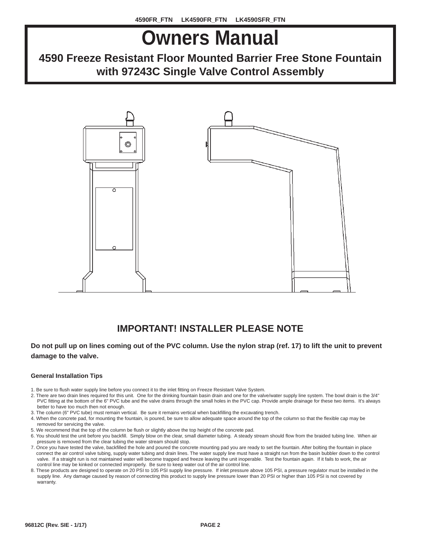# **Owners Manual**

## **4590 Freeze Resistant Floor Mounted Barrier Free Stone Fountain with 97243C Single Valve Control Assembly**



## **IMPORTANT! INSTALLER PLEASE NOTE**

#### **Do not pull up on lines coming out of the PVC column. Use the nylon strap (ref. 17) to lift the unit to prevent damage to the valve.**

#### **General Installation Tips**

- 1. Be sure to flush water supply line before you connect it to the inlet fitting on Freeze Resistant Valve System.
- 2. There are two drain lines required for this unit. One for the drinking fountain basin drain and one for the valve/water supply line system. The bowl drain is the 3/4" PVC fitting at the bottom of the 6" PVC tube and the valve drains through the small holes in the PVC cap. Provide ample drainage for these two items. It's always better to have too much then not enough.
- 3. The column (6" PVC tube) must remain vertical. Be sure it remains vertical when backfilling the excavating trench.
- 4. When the concrete pad, for mounting the fountain, is poured, be sure to allow adequate space around the top of the column so that the flexible cap may be removed for servicing the valve.
- 5. We recommend that the top of the column be flush or slightly above the top height of the concrete pad.
- 6. You should test the unit before you backfill. Simply blow on the clear, small diameter tubing. A steady stream should flow from the braided tubing line. When air pressure is removed from the clear tubing the water stream should stop.
- 7. Once you have tested the valve, backfilled the hole and poured the concrete mounting pad you are ready to set the fountain. After bolting the fountain in place connect the air control valve tubing, supply water tubing and drain lines. The water supply line must have a straight run from the basin bubbler down to the control valve. If a straight run is not maintained water will become trapped and freeze leaving the unit inoperable. Test the fountain again. If it fails to work, the air control line may be kinked or connected improperly. Be sure to keep water out of the air control line.
- 8. These products are designed to operate on 20 PSI to 105 PSI supply line pressure. If inlet pressure above 105 PSI, a pressure regulator must be installed in the supply line. Any damage caused by reason of connecting this product to supply line pressure lower than 20 PSI or higher than 105 PSI is not covered by warranty.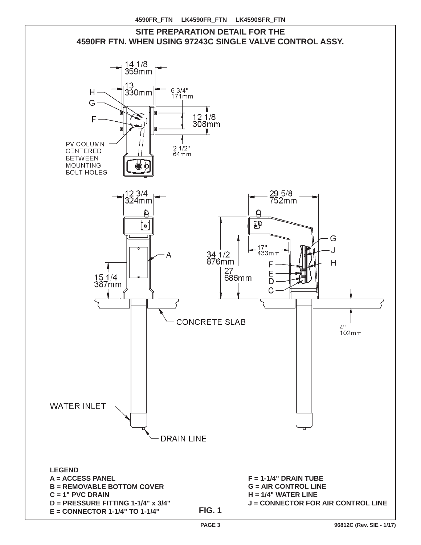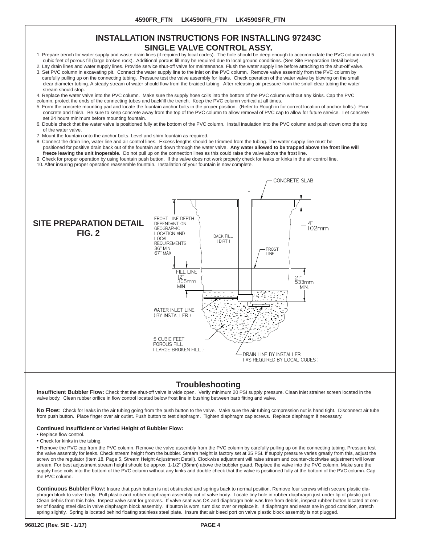#### **INSTALLATION INSTRUCTIONS FOR INSTALLING 97243C SINGLE VALVE CONTROL ASSY.**

- 1. Prepare trench for water supply and waste drain lines (if required by local codes). The hole should be deep enough to accommodate the PVC column and 5 cubic feet of porous fill (large broken rock). Additional porous fill may be required due to local ground conditions. (See Site Preparation Detail below).
- 2. Lay drain lines and water supply lines. Provide service shut-off valve for maintenance. Flush the water supply line before attaching to the shut-off valve. 3. Set PVC column in excavating pit. Connect the water supply line to the inlet on the PVC column. Remove valve assembly from the PVC column by carefully pulling up on the connecting tubing. Pressure test the valve assembly for leaks. Check operation of the water valve by blowing on the small
- clear diameter tubing. A steady stream of water should flow from the braided tubing. After releasing air pressure from the small clear tubing the water stream should stop. 4. Replace the water valve into the PVC column. Make sure the supply hose coils into the bottom of the PVC column without any kinks. Cap the PVC
- column, protect the ends of the connecting tubes and backfill the trench. Keep the PVC column vertical at all times.
- 5. Form the concrete mounting pad and locate the fountain anchor bolts in the proper position. (Refer to Rough-in for correct location of anchor bolts.) Pour concrete and finish. Be sure to keep concrete away from the top of the PVC column to allow removal of PVC cap to allow for future service. Let concrete set 24 hours minimum before mounting fountain.
- 6. Double check that the water valve is positioned fully at the bottom of the PVC column. Install insulation into the PVC column and push down onto the top of the water valve.
- 7. Mount the fountain onto the anchor bolts. Level and shim fountain as required.
- 8. Connect the drain line, water line and air control lines. Excess lengths should be trimmed from the tubing. The water supply line must be positioned for positive drain back out of the fountain and down through the water valve. **Any water allowed to be trapped above the frost line will**
- **freeze leaving the unit inoperable.** Do not pull up on the connection lines as this could raise the valve above the frost line.
- 9. Check for proper operation by using fountain push button. If the valve does not work properly check for leaks or kinks in the air control line.

10. After insuring proper operation reassemble fountain. Installation of your fountain is now complete.



#### **Troubleshooting**

**Insufficient Bubbler Flow:** Check that the shut-off valve is wide open. Verify minimum 20 PSI supply pressure. Clean inlet strainer screen located in the valve body. Clean rubber orifice in flow control located below frost line in bushing between barb fitting and valve.

**No Flow:** Check for leaks in the air tubing going from the push button to the valve. Make sure the air tubing compression nut is hand tight. Disconnect air tube from push button. Place finger over air outlet. Push button to test diaphragm. Tighten diaphragm cap screws. Replace diaphragm if necessary.

#### **Continued Insuffi cient or Varied Height of Bubbler Flow:**

- Replace flow control.
- Check for kinks in the tubing.

• Remove the PVC cap from the PVC column. Remove the valve assembly from the PVC column by carefully pulling up on the connecting tubing. Pressure test the valve assembly for leaks. Check stream height from the bubbler. Stream height is factory set at 35 PSI. If supply pressure varies greatly from this, adjust the screw on the regulator (Item 18, Page 5, Stream Height Adjustment Detail). Clockwise adjustment will raise stream and counter-clockwise adjustment will lower stream. For best adjustment stream height should be approx. 1-1/2" (38mm) above the bubbler guard. Replace the valve into the PVC column. Make sure the supply hose coils into the bottom of the PVC column without any kinks and double check that the valve is positioned fully at the bottom of the PVC column. Cap the PVC column.

**Continuous Bubbler Flow:** Insure that push button is not obstructed and springs back to normal position. Remove four screws which secure plastic diaphragm block to valve body. Pull plastic and rubber diaphragm assembly out of valve body. Locate tiny hole in rubber diaphragm just under lip of plastic part. Clean debris from this hole. Inspect valve seat for grooves. If valve seat was OK and diaphragm hole was free from debris, inspect rubber button located at center of floating steel disc in valve diaphragm block assembly. If button is worn, turn disc over or replace it. If diaphragm and seats are in good condition, stretch spring slightly. Spring is located behind floating stainless steel plate. Insure that air bleed port on valve plastic block assembly is not plugged.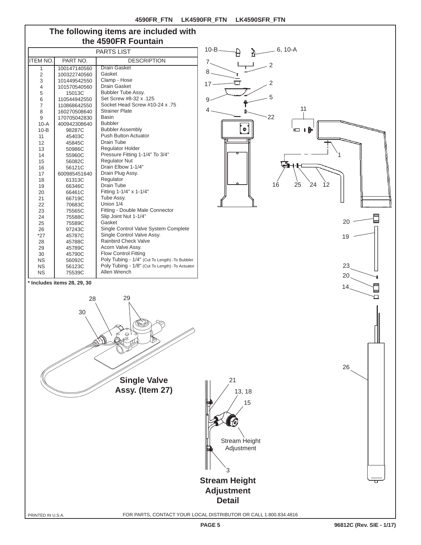9

4

7 8 17

10-B

11

6 i A

2

 $-6, 10-A$ 

 $\overline{\mathcal{C}}$ 

5

22

 $\bullet$ 

### **The following items are included with the 4590FR Fountain**

| <b>PARTS LIST</b>           |              |                                                  |  |  |
|-----------------------------|--------------|--------------------------------------------------|--|--|
| <b>ITEM NO.</b>             | PART NO.     | <b>DESCRIPTION</b>                               |  |  |
| 1                           | 100147140560 | Drain Gasket                                     |  |  |
| $\overline{2}$              | 100322740560 | Gasket                                           |  |  |
| 3                           | 101449542550 | Clamp - Hose                                     |  |  |
| 4                           | 101570540560 | <b>Drain Gasket</b>                              |  |  |
| 5                           | 15013C       | Bubbler Tube Assy.                               |  |  |
| 6                           | 110544942550 | Set Screw #8-32 x .125                           |  |  |
| $\overline{7}$              | 110868642550 | Socket Head Screw #10-24 x .75                   |  |  |
| 8                           | 160270508640 | <b>Strainer Plate</b>                            |  |  |
| 9                           | 170705042830 | <b>Basin</b>                                     |  |  |
| $10-A$                      | 400942308640 | <b>Bubbler</b>                                   |  |  |
| $10 - B$                    | 98287C       | <b>Bubbler Assembly</b>                          |  |  |
| 11                          | 45403C       | <b>Push Button Actuator</b>                      |  |  |
| 12                          | 45845C       | Drain Tube                                       |  |  |
| 13                          | 50986C       | <b>Requlator Holder</b>                          |  |  |
| 14                          | 55960C       | Pressure Fitting 1-1/4" To 3/4"                  |  |  |
| 15                          | 56082C       | <b>Regulator Nut</b>                             |  |  |
| 16                          | 56121C       | Drain Elbow 1-1/4"                               |  |  |
| 17                          | 600985451640 | Drain Plug Assy.                                 |  |  |
| 18                          | 61313C       | Regulator                                        |  |  |
| 19                          | 66346C       | Drain Tube                                       |  |  |
| 20                          | 66461C       | Fitting 1-1/4" x 1-1/4"                          |  |  |
| 21                          | 66719C       | Tube Assy.                                       |  |  |
| 22                          | 70683C       | Union 1/4                                        |  |  |
| 23                          | 75565C       | Fitting - Double Male Connector                  |  |  |
| 24                          | 75588C       | Slip Joint Nut 1-1/4"                            |  |  |
| 25                          | 75589C       | Gasket                                           |  |  |
| 26                          | 97243C       | Single Control Valve System Complete             |  |  |
| $*27$                       | 45787C       | Single Control Valve Assy.                       |  |  |
| 28                          | 45788C       | <b>Rainbird Check Valve</b>                      |  |  |
| 29                          | 45789C       | Acorn Valve Assy.                                |  |  |
| 30                          | 45790C       | <b>Flow Control Fitting</b>                      |  |  |
| <b>NS</b>                   | 56092C       | Poly Tubing - 1/4" (Cut To Length) - To Bubbler  |  |  |
| <b>NS</b>                   | 56123C       | Poly Tubing - 1/8" (Cut To Length) - To Actuator |  |  |
| <b>NS</b>                   | 75539C       | Allen Wrench                                     |  |  |
| * Includes items 28, 20, 30 |              |                                                  |  |  |



目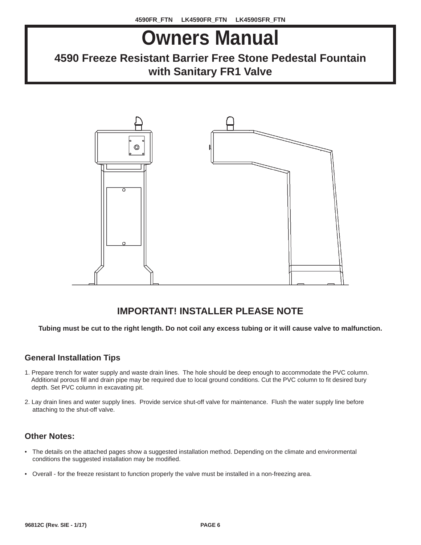# **Owners Manual**

## **4590 Freeze Resistant Barrier Free Stone Pedestal Fountain with Sanitary FR1 Valve**



### **IMPORTANT! INSTALLER PLEASE NOTE**

**Tubing must be cut to the right length. Do not coil any excess tubing or it will cause valve to malfunction.**

### **General Installation Tips**

- 1. Prepare trench for water supply and waste drain lines. The hole should be deep enough to accommodate the PVC column. Additional porous fill and drain pipe may be required due to local ground conditions. Cut the PVC column to fit desired bury depth. Set PVC column in excavating pit.
- 2. Lay drain lines and water supply lines. Provide service shut-off valve for maintenance. Flush the water supply line before attaching to the shut-off valve.

#### **Other Notes:**

- The details on the attached pages show a suggested installation method. Depending on the climate and environmental conditions the suggested installation may be modified.
- Overall for the freeze resistant to function properly the valve must be installed in a non-freezing area.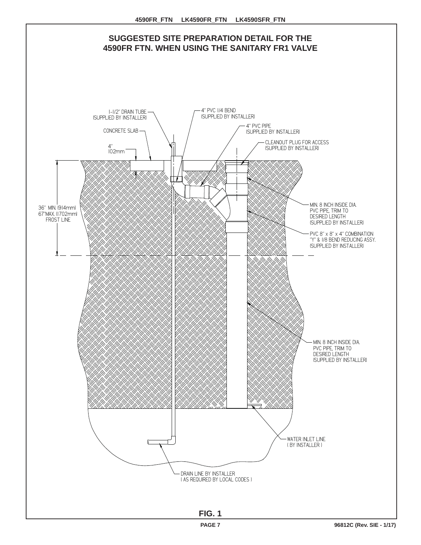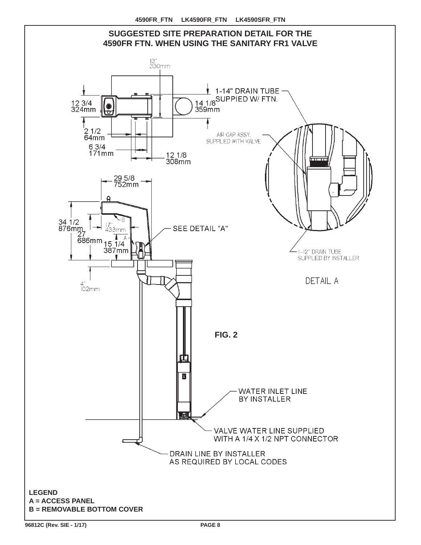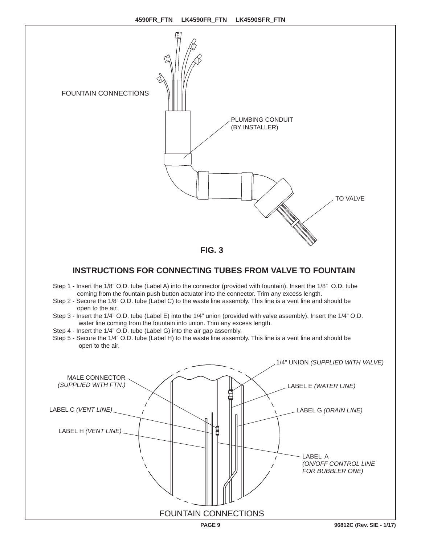

### **INSTRUCTIONS FOR CONNECTING TUBES FROM VALVE TO FOUNTAIN**

- Step 1 Insert the 1/8" O.D. tube (Label A) into the connector (provided with fountain). Insert the 1/8" O.D. tube coming from the fountain push button actuator into the connector. Trim any excess length.
- Step 2 Secure the 1/8" O.D. tube (Label C) to the waste line assembly. This line is a vent line and should be open to the air.
- Step 3 Insert the 1/4" O.D. tube (Label E) into the 1/4" union (provided with valve assembly). Insert the 1/4" O.D. water line coming from the fountain into union. Trim any excess length.
- Step 4 Insert the 1/4" O.D. tube (Label G) into the air gap assembly.
- Step 5 Secure the 1/4" O.D. tube (Label H) to the waste line assembly. This line is a vent line and should be open to the air.

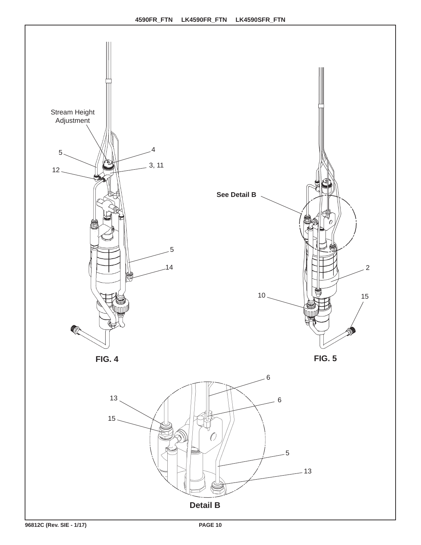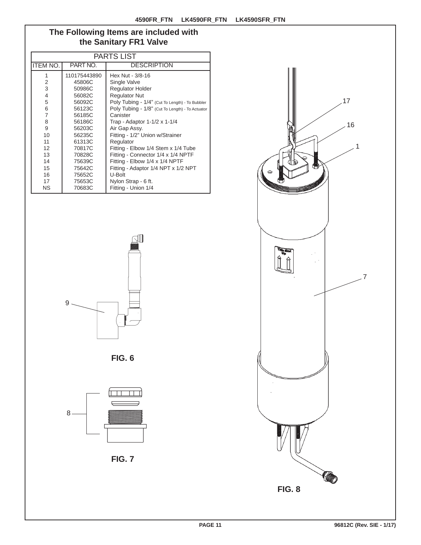#### **The Following Items are included with the Sanitary FR1 Valve**

| <b>PARTS LIST</b> |              |                                                  |  |
|-------------------|--------------|--------------------------------------------------|--|
| <b>ITEM NO.</b>   | PART NO.     | <b>DESCRIPTION</b>                               |  |
| 1                 | 110175443890 | Hex Nut - 3/8-16                                 |  |
| 2                 | 45806C       | Single Valve                                     |  |
| 3                 | 50986C       | <b>Regulator Holder</b>                          |  |
| $\overline{4}$    | 56082C       | <b>Regulator Nut</b>                             |  |
| 5                 | 56092C       | Poly Tubing - 1/4" (Cut To Length) - To Bubbler  |  |
| 6                 | 56123C       | Poly Tubing - 1/8" (Cut To Length) - To Actuator |  |
| $\overline{7}$    | 56185C       | Canister                                         |  |
| 8                 | 56186C       | Trap - Adaptor 1-1/2 x 1-1/4                     |  |
| 9                 | 56203C       | Air Gap Assy.                                    |  |
| 10                | 56235C       | Fitting - 1/2" Union w/Strainer                  |  |
| 11                | 61313C       | Regulator                                        |  |
| 12                | 70817C       | Fitting - Elbow 1/4 Stem x 1/4 Tube              |  |
| 13                | 70828C       | Fitting - Connector 1/4 x 1/4 NPTF               |  |
| 14                | 75639C       | Fitting - Elbow 1/4 x 1/4 NPTF                   |  |
| 15                | 75642C       | Fitting - Adaptor 1/4 NPT x 1/2 NPT              |  |
| 16                | 75652C       | U-Bolt                                           |  |
| 17                | 75653C       | Nylon Strap - 6 ft.                              |  |
| <b>NS</b>         | 70683C       | Fitting - Union 1/4                              |  |